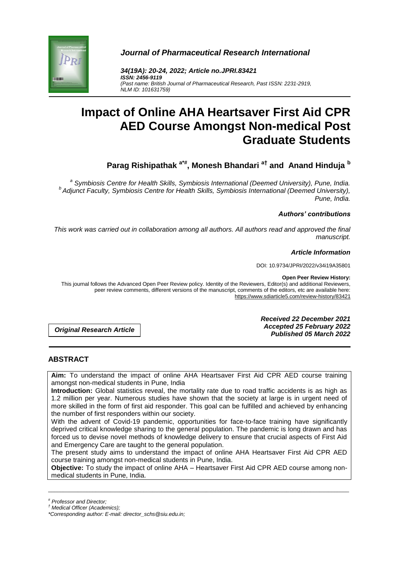

*Journal of Pharmaceutical Research International*

*34(19A): 20-24, 2022; Article no.JPRI.83421 ISSN: 2456-9119 (Past name: British Journal of Pharmaceutical Research, Past ISSN: 2231-2919, NLM ID: 101631759)*

# **Impact of Online AHA Heartsaver First Aid CPR AED Course Amongst Non-medical Post Graduate Students**

**Parag Rishipathak a\*# , Monesh Bhandari a† and Anand Hinduja <sup>b</sup>**

*a Symbiosis Centre for Health Skills, Symbiosis International (Deemed University), Pune, India. b Adjunct Faculty, Symbiosis Centre for Health Skills, Symbiosis International (Deemed University), Pune, India.*

#### *Authors' contributions*

*This work was carried out in collaboration among all authors. All authors read and approved the final manuscript.*

## *Article Information*

DOI: 10.9734/JPRI/2022/v34i19A35801

#### **Open Peer Review History:**

This journal follows the Advanced Open Peer Review policy. Identity of the Reviewers, Editor(s) and additional Reviewers, peer review comments, different versions of the manuscript, comments of the editors, etc are available here: https://www.sdiarticle5.com/review-history/83421

*Original Research Article*

*Received 22 December 2021 Accepted 25 February 2022 Published 05 March 2022*

# **ABSTRACT**

**Aim:** To understand the impact of online AHA Heartsaver First Aid CPR AED course training amongst non-medical students in Pune, India

**Introduction:** Global statistics reveal, the mortality rate due to road traffic accidents is as high as 1.2 million per year. Numerous studies have shown that the society at large is in urgent need of more skilled in the form of first aid responder. This goal can be fulfilled and achieved by enhancing the number of first responders within our society.

With the advent of Covid-19 pandemic, opportunities for face-to-face training have significantly deprived critical knowledge sharing to the general population. The pandemic is long drawn and has forced us to devise novel methods of knowledge delivery to ensure that crucial aspects of First Aid and Emergency Care are taught to the general population.

The present study aims to understand the impact of online AHA Heartsaver First Aid CPR AED course training amongst non-medical students in Pune, India.

**Objective:** To study the impact of online AHA – Heartsaver First Aid CPR AED course among nonmedical students in Pune, India.

\_\_\_\_\_\_\_\_\_\_\_\_\_\_\_\_\_\_\_\_\_\_\_\_\_\_\_\_\_\_\_\_\_\_\_\_\_\_\_\_\_\_\_\_\_\_\_\_\_\_\_\_\_\_\_\_\_\_\_\_\_\_\_\_\_\_\_\_\_\_\_\_\_\_\_\_\_\_\_\_\_\_\_\_\_\_\_\_\_\_\_\_\_\_\_\_\_\_\_\_\_

*<sup>#</sup> Professor and Director;*

*<sup>†</sup> Medical Officer (Academics);*

*<sup>\*</sup>Corresponding author: E-mail: director\_schs@siu.edu.in;*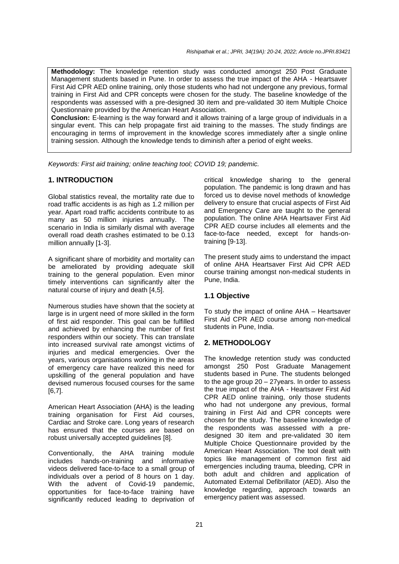*Rishipathak et al.; JPRI, 34(19A): 20-24, 2022; Article no.JPRI*.*83421*

**Methodology:** The knowledge retention study was conducted amongst 250 Post Graduate Management students based in Pune. In order to assess the true impact of the AHA - Heartsaver First Aid CPR AED online training, only those students who had not undergone any previous, formal training in First Aid and CPR concepts were chosen for the study. The baseline knowledge of the respondents was assessed with a pre-designed 30 item and pre-validated 30 item Multiple Choice Questionnaire provided by the American Heart Association.

**Conclusion:** E-learning is the way forward and it allows training of a large group of individuals in a singular event. This can help propagate first aid training to the masses. The study findings are encouraging in terms of improvement in the knowledge scores immediately after a single online training session. Although the knowledge tends to diminish after a period of eight weeks.

*Keywords: First aid training; online teaching tool; COVID 19; pandemic.*

# **1. INTRODUCTION**

Global statistics reveal, the mortality rate due to road traffic accidents is as high as 1.2 million per year. Apart road traffic accidents contribute to as many as 50 million injuries annually. The scenario in India is similarly dismal with average overall road death crashes estimated to be 0.13 million annually [1-3].

A significant share of morbidity and mortality can be ameliorated by providing adequate skill training to the general population. Even minor timely interventions can significantly alter the natural course of injury and death [4,5].

Numerous studies have shown that the society at large is in urgent need of more skilled in the form of first aid responder. This goal can be fulfilled and achieved by enhancing the number of first responders within our society. This can translate into increased survival rate amongst victims of injuries and medical emergencies. Over the years, various organisations working in the areas of emergency care have realized this need for upskilling of the general population and have devised numerous focused courses for the same [6,7].

American Heart Association (AHA) is the leading training organisation for First Aid courses, Cardiac and Stroke care. Long years of research has ensured that the courses are based on robust universally accepted guidelines [8].

Conventionally, the AHA training module includes hands-on-training and informative videos delivered face-to-face to a small group of individuals over a period of 8 hours on 1 day. With the advent of Covid-19 pandemic, opportunities for face-to-face training have significantly reduced leading to deprivation of

critical knowledge sharing to the general population. The pandemic is long drawn and has forced us to devise novel methods of knowledge delivery to ensure that crucial aspects of First Aid and Emergency Care are taught to the general population. The online AHA Heartsaver First Aid CPR AED course includes all elements and the face-to-face needed, except for hands-ontraining [9-13].

The present study aims to understand the impact of online AHA Heartsaver First Aid CPR AED course training amongst non-medical students in Pune, India.

#### **1.1 Objective**

To study the impact of online AHA – Heartsaver First Aid CPR AED course among non-medical students in Pune, India.

# **2. METHODOLOGY**

The knowledge retention study was conducted amongst 250 Post Graduate Management students based in Pune. The students belonged to the age group 20 – 27years. In order to assess the true impact of the AHA - Heartsaver First Aid CPR AED online training, only those students who had not undergone any previous, formal training in First Aid and CPR concepts were chosen for the study. The baseline knowledge of the respondents was assessed with a predesigned 30 item and pre-validated 30 item Multiple Choice Questionnaire provided by the American Heart Association. The tool dealt with topics like management of common first aid emergencies including trauma, bleeding, CPR in both adult and children and application of Automated External Defibrillator (AED). Also the knowledge regarding, approach towards an emergency patient was assessed.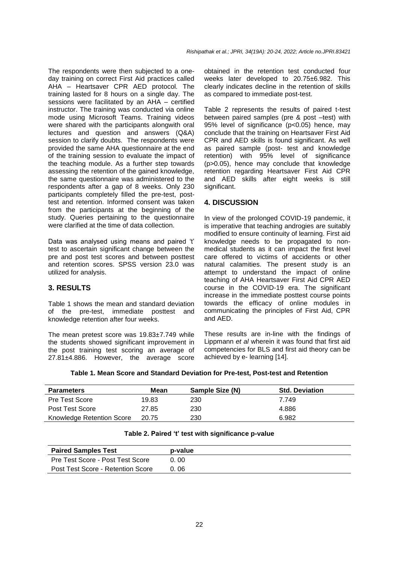The respondents were then subjected to a oneday training on correct First Aid practices called AHA – Heartsaver CPR AED protocol. The training lasted for 8 hours on a single day. The sessions were facilitated by an AHA – certified instructor. The training was conducted via online mode using Microsoft Teams. Training videos were shared with the participants alongwith oral lectures and question and answers (Q&A) session to clarify doubts. The respondents were provided the same AHA questionnaire at the end of the training session to evaluate the impact of the teaching module. As a further step towards assessing the retention of the gained knowledge, the same questionnaire was administered to the respondents after a gap of 8 weeks. Only 230 participants completely filled the pre-test, posttest and retention. Informed consent was taken from the participants at the beginning of the study. Queries pertaining to the questionnaire were clarified at the time of data collection.

Data was analysed using means and paired 't' test to ascertain significant change between the pre and post test scores and between posttest and retention scores. SPSS version 23.0 was utilized for analysis.

#### **3. RESULTS**

Table 1 shows the mean and standard deviation of the pre-test, immediate posttest and knowledge retention after four weeks.

The mean pretest score was 19.83±7.749 while the students showed significant improvement in the post training test scoring an average of 27.81±4.886. However, the average score obtained in the retention test conducted four weeks later developed to 20.75±6.982. This clearly indicates decline in the retention of skills as compared to immediate post-test.

Table 2 represents the results of paired t-test between paired samples (pre & post –test) with 95% level of significance (p<0.05) hence, may conclude that the training on Heartsaver First Aid CPR and AED skills is found significant. As well as paired sample (post- test and knowledge retention) with 95% level of significance (p>0.05), hence may conclude that knowledge retention regarding Heartsaver First Aid CPR and AED skills after eight weeks is still significant.

## **4. DISCUSSION**

In view of the prolonged COVID-19 pandemic, it is imperative that teaching androgies are suitably modified to ensure continuity of learning. First aid knowledge needs to be propagated to nonmedical students as it can impact the first level care offered to victims of accidents or other natural calamities. The present study is an attempt to understand the impact of online teaching of AHA Heartsaver First Aid CPR AED course in the COVID-19 era. The significant increase in the immediate posttest course points towards the efficacy of online modules in communicating the principles of First Aid, CPR and AED.

These results are in-line with the findings of Lippmann *et al* wherein it was found that first aid competencies for BLS and first aid theory can be achieved by e- learning [14].

|  |  |  |  |  | Table 1. Mean Score and Standard Deviation for Pre-test, Post-test and Retention |
|--|--|--|--|--|----------------------------------------------------------------------------------|
|--|--|--|--|--|----------------------------------------------------------------------------------|

| <b>Parameters</b>         | Mean  | Sample Size (N) | <b>Std. Deviation</b> |
|---------------------------|-------|-----------------|-----------------------|
| <b>Pre Test Score</b>     | 19.83 | 230             | 7.749                 |
| Post Test Score           | 27.85 | 230             | 4.886                 |
| Knowledge Retention Score | 20.75 | 230             | 6.982                 |

#### **Table 2. Paired 't' test with significance p-value**

| <b>Paired Samples Test</b>        | p-value |
|-----------------------------------|---------|
| Pre Test Score - Post Test Score  | 0.00    |
| Post Test Score - Retention Score | 0.06    |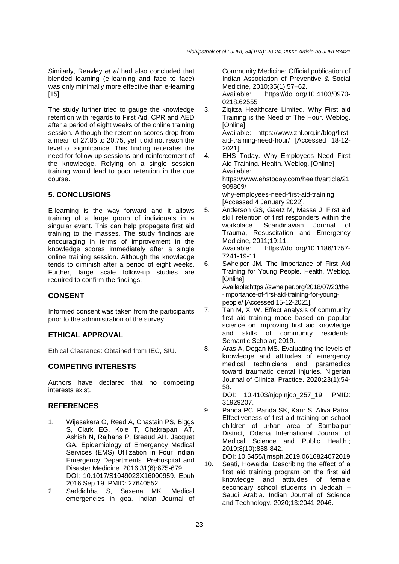Similarly, Reavley *et al* had also concluded that blended learning (e-learning and face to face) was only minimally more effective than e-learning [15].

The study further tried to gauge the knowledge retention with regards to First Aid, CPR and AED after a period of eight weeks of the online training session. Although the retention scores drop from a mean of 27.85 to 20.75, yet it did not reach the level of significance. This finding reiterates the need for follow-up sessions and reinforcement of the knowledge. Relying on a single session training would lead to poor retention in the due course.

# **5. CONCLUSIONS**

E-learning is the way forward and it allows training of a large group of individuals in a singular event. This can help propagate first aid training to the masses. The study findings are encouraging in terms of improvement in the knowledge scores immediately after a single online training session. Although the knowledge tends to diminish after a period of eight weeks. Further, large scale follow-up studies are required to confirm the findings.

# **CONSENT**

Informed consent was taken from the participants prior to the administration of the survey.

# **ETHICAL APPROVAL**

Ethical Clearance: Obtained from IEC, SIU.

# **COMPETING INTERESTS**

Authors have declared that no competing interests exist.

# **REFERENCES**

- 1. Wijesekera O, Reed A, Chastain PS, Biggs S, Clark EG, Kole T, Chakrapani AT, Ashish N, Rajhans P, Breaud AH, Jacquet GA. Epidemiology of Emergency Medical Services (EMS) Utilization in Four Indian Emergency Departments. Prehospital and Disaster Medicine. 2016;31(6):675-679. DOI: 10.1017/S1049023X16000959. Epub 2016 Sep 19. PMID: 27640552.
- 2. Saddichha S, Saxena MK. Medical emergencies in goa. Indian Journal of

Community Medicine: Official publication of Indian Association of Preventive & Social Medicine, 2010;35(1):57–62.

Available: https://doi.org/10.4103/0970- 0218.62555

- 3. Ziqitza Healthcare Limited. Why First aid Training is the Need of The Hour. Weblog. [Online] Available: https://www.zhl.org.in/blog/firstaid-training-need-hour/ [Accessed 18-12- 2021].
- 4. EHS Today. Why Employees Need First Aid Training. Health. Weblog. [Online] Available: [https://www.ehstoday.com/health/article/21](https://www.ehstoday.com/health/article/21909869/) [909869/](https://www.ehstoday.com/health/article/21909869/) why-employees-need-first-aid-training [Accessed 4 January 2022].
- 5. Anderson GS, Gaetz M, Masse J. First aid skill retention of first responders within the workplace. Scandinavian Journal of Trauma, Resuscitation and Emergency Medicine, 2011;19:11.

Available: [https://doi.org/10.1186/1757-](https://doi.org/10.1186/1757-7241-19-11) [7241-19-11](https://doi.org/10.1186/1757-7241-19-11)

- 6. Swhelper JM. The Importance of First Aid Training for Young People. Health. Weblog. [Online] Available:https://swhelper.org/2018/07/23/the -importance-of-first-aid-training-for-youngpeople/ [Accessed 15-12-2021].
- 7. Tan M, Xi W. Effect analysis of community first aid training mode based on popular science on improving first aid knowledge and skills of community residents. Semantic Scholar; 2019.
- 8. Aras A, Dogan MS. Evaluating the levels of knowledge and attitudes of emergency medical technicians and paramedics toward traumatic dental injuries. Nigerian Journal of Clinical Practice. 2020;23(1):54- 58.

DOI: 10.4103/njcp.njcp\_257\_19. PMID: 31929207.

9. Panda PC, Panda SK, Karir S, Aliva Patra. Effectiveness of first-aid training on school children of urban area of Sambalpur District, Odisha International Journal of Medical Science and Public Health.; 2019;8(10):838-842.

DOI: 10.5455/ijmsph.2019.0616824072019 10. Saati, Howaida. Describing the effect of a first aid training program on the first aid knowledge and attitudes of female secondary school students in Jeddah – Saudi Arabia. Indian Journal of Science and Technology. 2020;13:2041-2046.